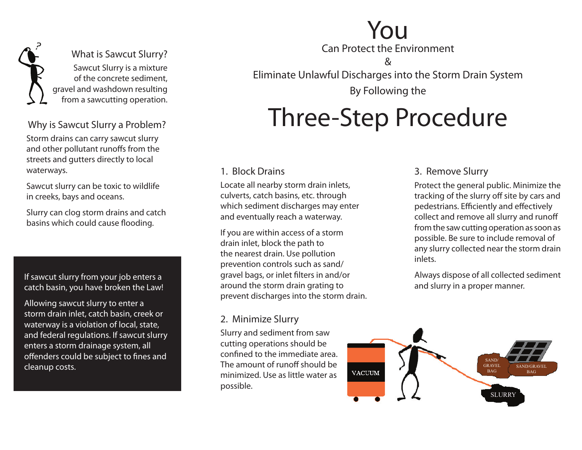

#### Why is Sawcut Slurry a Problem?

Storm drains can carry sawcut slurry and other pollutant runoffs from the streets and gutters directly to local waterways.

Sawcut slurry can be toxic to wildlife in creeks, bays and oceans.

Slurry can clog storm drains and catch basins which could cause flooding.

If sawcut slurry from your job enters a catch basin, you have broken the Law!

Allowing sawcut slurry to enter a storm drain inlet, catch basin, creek or waterway is a violation of local, state, and federal regulations. If sawcut slurry enters a storm drainage system, all offenders could be subject to fines and cleanup costs.

## You

Can Protect the Environment

&

Eliminate Unlawful Discharges into the Storm Drain System

By Following the

## Three-Step Procedure

#### 1. Block Drains

Locate all nearby storm drain inlets, culverts, catch basins, etc. through which sediment discharges may enter and eventually reach a waterway.

If you are within access of a storm drain inlet, block the path to the nearest drain. Use pollution prevention controls such as sand/ gravel bags, or inlet filters in and/or around the storm drain grating to prevent discharges into the storm drain.

#### 2. Minimize Slurry

Slurry and sediment from saw cutting operations should be confined to the immediate area. The amount of runoff should be minimized. Use as little water as possible.

#### 3. Remove Slurry

Protect the general public. Minimize the tracking of the slurry off site by cars and pedestrians. Efficiently and effectively collect and remove all slurry and runoff from the saw cutting operation as soon as possible. Be sure to include removal of any slurry collected near the storm drain inlets.

Always dispose of all collected sediment and slurry in a proper manner.